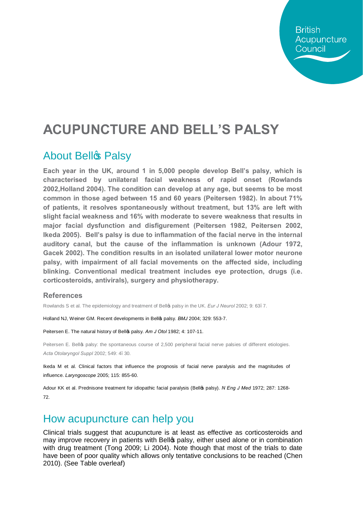**British** Acupuncture Council

# **ACUPUNCTURE AND BELL'S PALSY**

#### **About Bellg Palsy**

**Each year in the UK, around 1 in 5,000 people develop Bell's palsy, which is characterised by unilateral facial weakness of rapid onset (Rowlands 2002,Holland 2004). The condition can develop at any age, but seems to be most common in those aged between 15 and 60 years (Peitersen 1982). In about 71% of patients, it resolves spontaneously without treatment, but 13% are left with slight facial weakness and 16% with moderate to severe weakness that results in major facial dysfunction and disfigurement (Peitersen 1982, Peitersen 2002, Ikeda 2005). Bell's palsy is due to inflammation of the facial nerve in the internal auditory canal, but the cause of the inflammation is unknown (Adour 1972, Gacek 2002). The condition results in an isolated unilateral lower motor neurone palsy, with impairment of all facial movements on the affected side, including blinking. Conventional medical treatment includes eye protection, drugs (i.e. corticosteroids, antivirals), surgery and physiotherapy.**

#### **References**

Rowlands S et al. The epidemiology and treatment of Bello<sub>p</sub> palsy in the UK. *Eur J Neurol* 2002; 9: 63.7.

Holland NJ, Weiner GM. Recent developments in Bell's palsy. *BMJ* 2004; 329: 553-7.

Peitersen E. The natural history of Bell<sup>o</sup> palsy. Am J Otol 1982; 4: 107-11.

Peitersen E. Bellop palsy: the spontaneous course of 2,500 peripheral facial nerve palsies of different etiologies. *Acta Otolaryngol Suppl* 2002; 549: 4–30.

Ikeda M et al. Clinical factors that influence the prognosis of facial nerve paralysis and the magnitudes of influence. *Laryngoscope* 2005; 115: 855-60.

Adour KK et al. Prednisone treatment for idiopathic facial paralysis (Bello palsy). *N Eng J Med* 1972; 287: 1268-72.

#### How acupuncture can help you

Clinical trials suggest that acupuncture is at least as effective as corticosteroids and may improve recovery in patients with Bell palsy, either used alone or in combination with drug treatment (Tong 2009; Li 2004). Note though that most of the trials to date have been of poor quality which allows only tentative conclusions to be reached (Chen 2010). (See Table overleaf)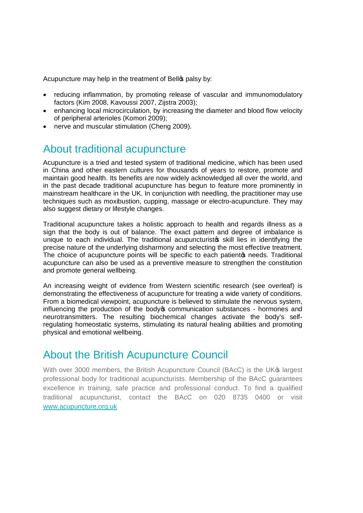Acupuncture may help in the treatment of Bello palsy by:

- · reducing inflammation, by promoting release of vascular and immunomodulatory factors (Kim 2008, Kavoussi 2007, Zijstra 2003);
- · enhancing local microcirculation, by increasing the diameter and blood flow velocity of peripheral arterioles (Komori 2009);
- · nerve and muscular stimulation (Cheng 2009).

### About traditional acupuncture

Acupuncture is a tried and tested system of traditional medicine, which has been used in China and other eastern cultures for thousands of years to restore, promote and maintain good health. Its benefits are now widely acknowledged all over the world, and in the past decade traditional acupuncture has begun to feature more prominently in mainstream healthcare in the UK. In conjunction with needling, the practitioner may use techniques such as moxibustion, cupping, massage or electro-acupuncture. They may also suggest dietary or lifestyle changes.

Traditional acupuncture takes a holistic approach to health and regards illness as a sign that the body is out of balance. The exact pattern and degree of imbalance is unique to each individual. The traditional acupuncturistos skill lies in identifying the precise nature of the underlying disharmony and selecting the most effective treatment. The choice of acupuncture points will be specific to each patient opeeds. Traditional acupuncture can also be used as a preventive measure to strengthen the constitution and promote general wellbeing.

An increasing weight of evidence from Western scientific research (see overleaf) is demonstrating the effectiveness of acupuncture for treating a wide variety of conditions. From a biomedical viewpoint, acupuncture is believed to stimulate the nervous system, influencing the production of the body oper communication substances - hormones and neurotransmitters. The resulting biochemical changes activate the body's selfregulating homeostatic systems, stimulating its natural healing abilities and promoting physical and emotional wellbeing.

## About the British Acupuncture Council

With over 3000 members, the British Acupuncture Council (BAcC) is the UK<sup>®</sup> largest professional body for traditional acupuncturists. Membership of the BAcC guarantees excellence in training, safe practice and professional conduct. To find a qualified traditional acupuncturist, contact the BAcC on 020 8735 0400 or visit [www.acupuncture.org.uk](http://www.acupuncture.org.uk/)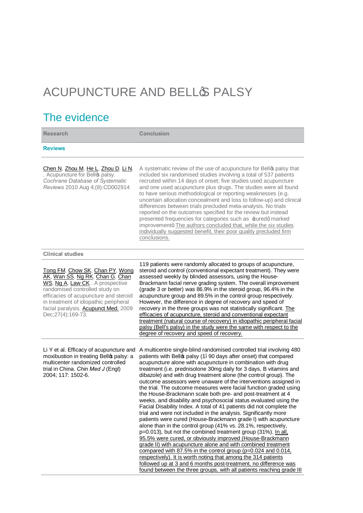# ACUPUNCTURE AND BELLG PALSY

## The evidence

| <b>Research</b>                                                                                                                                                                                                                                                                          | <b>Conclusion</b>                                                                                                                                                                                                                                                                                                                                                                                                                                                                                                                                                                                                                                                                                                                                                                                                                                                                                                                                                                                                                                                                                                                                                                                                                                                                                                                                                                    |
|------------------------------------------------------------------------------------------------------------------------------------------------------------------------------------------------------------------------------------------------------------------------------------------|--------------------------------------------------------------------------------------------------------------------------------------------------------------------------------------------------------------------------------------------------------------------------------------------------------------------------------------------------------------------------------------------------------------------------------------------------------------------------------------------------------------------------------------------------------------------------------------------------------------------------------------------------------------------------------------------------------------------------------------------------------------------------------------------------------------------------------------------------------------------------------------------------------------------------------------------------------------------------------------------------------------------------------------------------------------------------------------------------------------------------------------------------------------------------------------------------------------------------------------------------------------------------------------------------------------------------------------------------------------------------------------|
| <b>Reviews</b>                                                                                                                                                                                                                                                                           |                                                                                                                                                                                                                                                                                                                                                                                                                                                                                                                                                                                                                                                                                                                                                                                                                                                                                                                                                                                                                                                                                                                                                                                                                                                                                                                                                                                      |
| Chen N, Zhou M, He L, Zhou D, Li N.<br>. Acupuncture for Bello palsy.<br>Cochrane Database of Systematic<br>Reviews 2010 Aug 4;(8):CD002914                                                                                                                                              | A systematic review of the use of acupuncture for Bello palsy that<br>included six randomised studies involving a total of 537 patients<br>recruited within 14 days of onset; five studies used acupuncture<br>and one used acupuncture plus drugs. The studies were all found<br>to have serious methodological or reporting weaknesses (e.g.<br>uncertain allocation concealment and loss to follow-up) and clinical<br>differences between trials precluded meta-analysis. No trials<br>reported on the outcomes specified for the review but instead<br>presented frequencies for categories such as ±uredq marked<br>improvementq The authors concluded that, while the six studies<br>individually suggested benefit, their poor quality precluded firm<br>conclusions.                                                                                                                                                                                                                                                                                                                                                                                                                                                                                                                                                                                                        |
| <b>Clinical studies</b>                                                                                                                                                                                                                                                                  |                                                                                                                                                                                                                                                                                                                                                                                                                                                                                                                                                                                                                                                                                                                                                                                                                                                                                                                                                                                                                                                                                                                                                                                                                                                                                                                                                                                      |
| Tong FM, Chow SK, Chan PY, Wong<br>AK, Wan SS, Ng RK, Chan G, Chan<br>WS, Ng A, Law CK. A prospective<br>randomised controlled study on<br>efficacies of acupuncture and steroid<br>in treatment of idiopathic peripheral<br>facial paralysis. Acupunct Med. 2009<br>Dec; 27(4): 169-73. | 119 patients were randomly allocated to groups of acupuncture,<br>steroid and control (conventional expectant treatment). They were<br>assessed weekly by blinded assessors, using the House-<br>Brackmann facial nerve grading system. The overall improvement<br>(grade 3 or better) was 86.9% in the steroid group, 96.4% in the<br>acupuncture group and 89.5% in the control group respectively.<br>However, the difference in degree of recovery and speed of<br>recovery in the three groups was not statistically significant. The<br>efficacies of acupuncture, steroid and conventional expectant<br>treatment (natural course of recovery) in idiopathic peripheral facial<br>palsy (Bell's palsy) in the study were the same with respect to the<br>degree of recovery and speed of recovery.                                                                                                                                                                                                                                                                                                                                                                                                                                                                                                                                                                            |
| Li Y et al. Efficacy of acupuncture and<br>moxibustion in treating Bello palsy: a<br>multicenter randomized controlled<br>trial in China. Chin Med J (Engl)<br>2004; 117: 1502-6.                                                                                                        | A multicentre single-blind randomised controlled trial involving 480<br>patients with Bello palsy (1. 90 days after onset) that compared<br>acupuncture alone with acupuncture in combination with drug<br>treatment (i.e. prednisolone 30mg daily for 3 days, B vitamins and<br>dibazole) and with drug treatment alone (the control group). The<br>outcome assessors were unaware of the interventions assigned in<br>the trial. The outcome measures were facial function graded using<br>the House-Brackmann scale both pre- and post-treatment at 4<br>weeks, and disability and psychosocial status evaluated using the<br>Facial Disability Index. A total of 41 patients did not complete the<br>trial and were not included in the analysis. Significantly more<br>patients were cured (House-Brackmann grade I) with acupuncture<br>alone than in the control group (41% vs. 28.1%, respectively,<br>p=0.013), but not the combined treatment group (31%). In all,<br>95.5% were cured, or obviously improved (House-Brackmann<br>grade II) with acupuncture alone and with combined treatment<br>compared with 87.5% in the control group (p=0.024 and 0.014,<br>respectively). It is worth noting that among the 314 patients<br>followed up at 3 and 6 months post-treatment, no difference was<br>found between the three groups, with all patients reaching grade III |